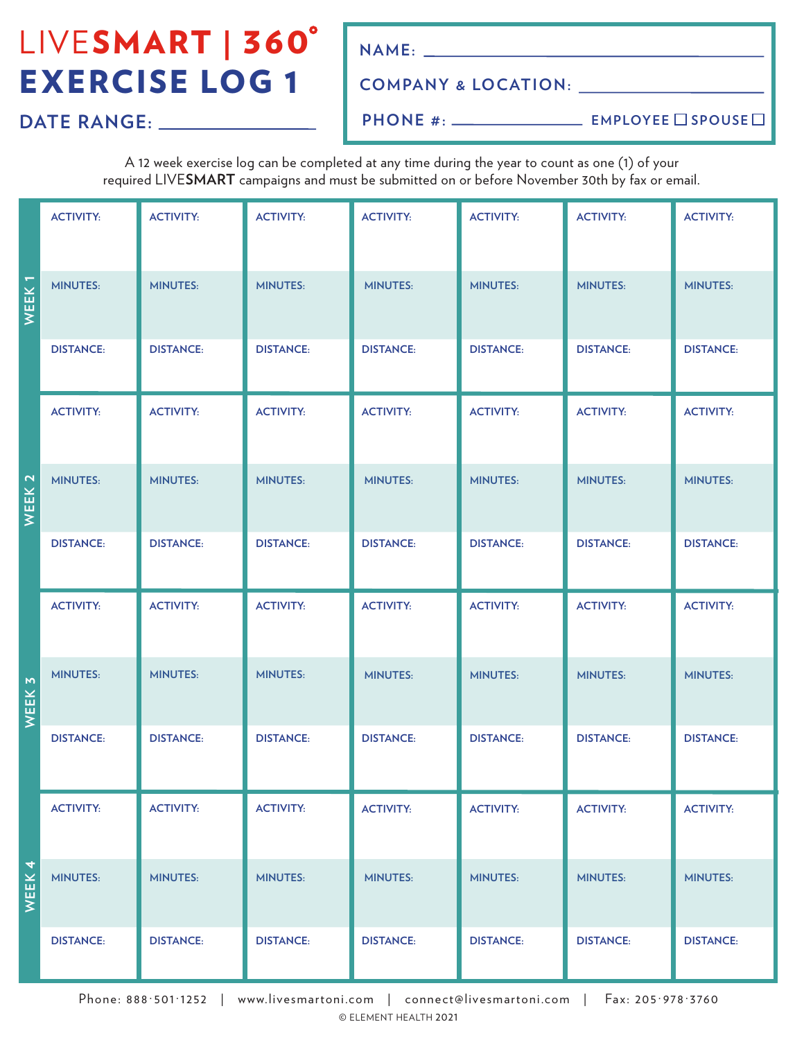# LIVESMART | 360° EXERCISE LOG 1

**NAME:**

#### **COMPANY & LOCATION:**

**DATE RANGE:**

**PHONE #:**

**EMPLOYEE** SPOUSE

A 12 week exercise log can be completed at any time during the year to count as one (1) of your required LIVE**SMART** campaigns and must be submitted on or before November 30th by fax or email.

|                                         | <b>ACTIVITY:</b> | <b>ACTIVITY:</b> | <b>ACTIVITY:</b> | <b>ACTIVITY:</b> | <b>ACTIVITY:</b> | <b>ACTIVITY:</b> | <b>ACTIVITY:</b> |
|-----------------------------------------|------------------|------------------|------------------|------------------|------------------|------------------|------------------|
| WEEK <sub>1</sub>                       | <b>MINUTES:</b>  | <b>MINUTES:</b>  | <b>MINUTES:</b>  | <b>MINUTES:</b>  | <b>MINUTES:</b>  | <b>MINUTES:</b>  | <b>MINUTES:</b>  |
|                                         | <b>DISTANCE:</b> | <b>DISTANCE:</b> | <b>DISTANCE:</b> | <b>DISTANCE:</b> | <b>DISTANCE:</b> | <b>DISTANCE:</b> | <b>DISTANCE:</b> |
|                                         | <b>ACTIVITY:</b> | <b>ACTIVITY:</b> | <b>ACTIVITY:</b> | <b>ACTIVITY:</b> | <b>ACTIVITY:</b> | <b>ACTIVITY:</b> | <b>ACTIVITY:</b> |
| WEEK <sub>2</sub>                       | <b>MINUTES:</b>  | <b>MINUTES:</b>  | <b>MINUTES:</b>  | <b>MINUTES:</b>  | <b>MINUTES:</b>  | <b>MINUTES:</b>  | <b>MINUTES:</b>  |
|                                         | <b>DISTANCE:</b> | <b>DISTANCE:</b> | <b>DISTANCE:</b> | <b>DISTANCE:</b> | <b>DISTANCE:</b> | <b>DISTANCE:</b> | <b>DISTANCE:</b> |
| WEEK <sub>3</sub>                       | <b>ACTIVITY:</b> | <b>ACTIVITY:</b> | <b>ACTIVITY:</b> | <b>ACTIVITY:</b> | <b>ACTIVITY:</b> | <b>ACTIVITY:</b> | <b>ACTIVITY:</b> |
|                                         | <b>MINUTES:</b>  | <b>MINUTES:</b>  | <b>MINUTES:</b>  | <b>MINUTES:</b>  | <b>MINUTES:</b>  | <b>MINUTES:</b>  | <b>MINUTES:</b>  |
|                                         | <b>DISTANCE:</b> | <b>DISTANCE:</b> | <b>DISTANCE:</b> | <b>DISTANCE:</b> | <b>DISTANCE:</b> | <b>DISTANCE:</b> | <b>DISTANCE:</b> |
|                                         | <b>ACTIVITY:</b> | <b>ACTIVITY:</b> | <b>ACTIVITY:</b> | <b>ACTIVITY:</b> | <b>ACTIVITY:</b> | <b>ACTIVITY:</b> | <b>ACTIVITY:</b> |
| $\overline{\mathcal{A}}$<br><b>WEEK</b> | <b>MINUTES:</b>  | <b>MINUTES:</b>  | <b>MINUTES:</b>  | <b>MINUTES:</b>  | <b>MINUTES:</b>  | <b>MINUTES:</b>  | <b>MINUTES:</b>  |
|                                         | <b>DISTANCE:</b> | <b>DISTANCE:</b> | <b>DISTANCE:</b> | <b>DISTANCE:</b> | <b>DISTANCE:</b> | <b>DISTANCE:</b> | <b>DISTANCE:</b> |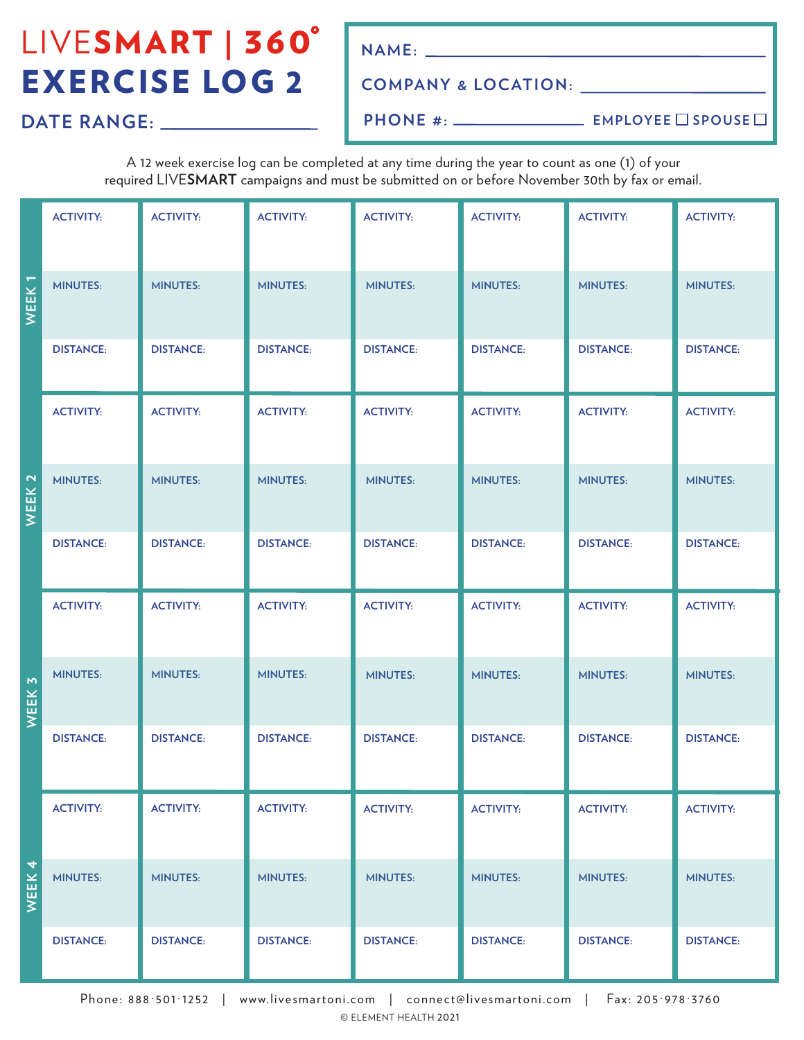# LIVESMART | 360° EXERCISE LOG 2

**NAME:**

### **COMPANY & LOCATION:**

**DATE RANGE:**

**PHONE #:**

**EMPLOYEE** SPOUSE

A 12 week exercise log can be completed at any time during the year to count as one (1) of your required LIVE**SMART** campaigns and must be submitted on or before November 30th by fax or email.

|                   | <b>ACTIVITY:</b> | <b>ACTIVITY:</b> | <b>ACTIVITY:</b> | <b>ACTIVITY:</b> | <b>ACTIVITY:</b> | <b>ACTIVITY:</b> | <b>ACTIVITY:</b> |
|-------------------|------------------|------------------|------------------|------------------|------------------|------------------|------------------|
| WEEK <sub>1</sub> | <b>MINUTES:</b>  | <b>MINUTES:</b>  | <b>MINUTES:</b>  | <b>MINUTES:</b>  | <b>MINUTES:</b>  | <b>MINUTES:</b>  | <b>MINUTES:</b>  |
|                   | <b>DISTANCE:</b> | <b>DISTANCE:</b> | <b>DISTANCE:</b> | <b>DISTANCE:</b> | <b>DISTANCE:</b> | <b>DISTANCE:</b> | <b>DISTANCE:</b> |
|                   | <b>ACTIVITY:</b> | <b>ACTIVITY:</b> | <b>ACTIVITY:</b> | <b>ACTIVITY:</b> | <b>ACTIVITY:</b> | <b>ACTIVITY:</b> | <b>ACTIVITY:</b> |
| WEEK <sub>2</sub> | <b>MINUTES:</b>  | <b>MINUTES:</b>  | <b>MINUTES:</b>  | <b>MINUTES:</b>  | <b>MINUTES:</b>  | <b>MINUTES:</b>  | <b>MINUTES:</b>  |
|                   | <b>DISTANCE:</b> | <b>DISTANCE:</b> | <b>DISTANCE:</b> | <b>DISTANCE:</b> | <b>DISTANCE:</b> | <b>DISTANCE:</b> | <b>DISTANCE:</b> |
|                   | <b>ACTIVITY:</b> | <b>ACTIVITY:</b> | <b>ACTIVITY:</b> | <b>ACTIVITY:</b> | <b>ACTIVITY:</b> | <b>ACTIVITY:</b> | <b>ACTIVITY:</b> |
| WEEK 3            | <b>MINUTES:</b>  | <b>MINUTES:</b>  | <b>MINUTES:</b>  | <b>MINUTES:</b>  | <b>MINUTES:</b>  | <b>MINUTES:</b>  | <b>MINUTES:</b>  |
|                   | <b>DISTANCE:</b> | <b>DISTANCE:</b> | <b>DISTANCE:</b> | <b>DISTANCE:</b> | <b>DISTANCE:</b> | <b>DISTANCE:</b> | <b>DISTANCE:</b> |
|                   | <b>ACTIVITY:</b> | <b>ACTIVITY:</b> | <b>ACTIVITY:</b> | <b>ACTIVITY:</b> | <b>ACTIVITY:</b> | <b>ACTIVITY:</b> | <b>ACTIVITY:</b> |
| WEEK 4            | <b>MINUTES:</b>  | <b>MINUTES:</b>  | <b>MINUTES:</b>  | <b>MINUTES:</b>  | <b>MINUTES:</b>  | <b>MINUTES:</b>  | <b>MINUTES:</b>  |
|                   | <b>DISTANCE:</b> | <b>DISTANCE:</b> | <b>DISTANCE:</b> | <b>DISTANCE:</b> | <b>DISTANCE:</b> | <b>DISTANCE:</b> | <b>DISTANCE:</b> |